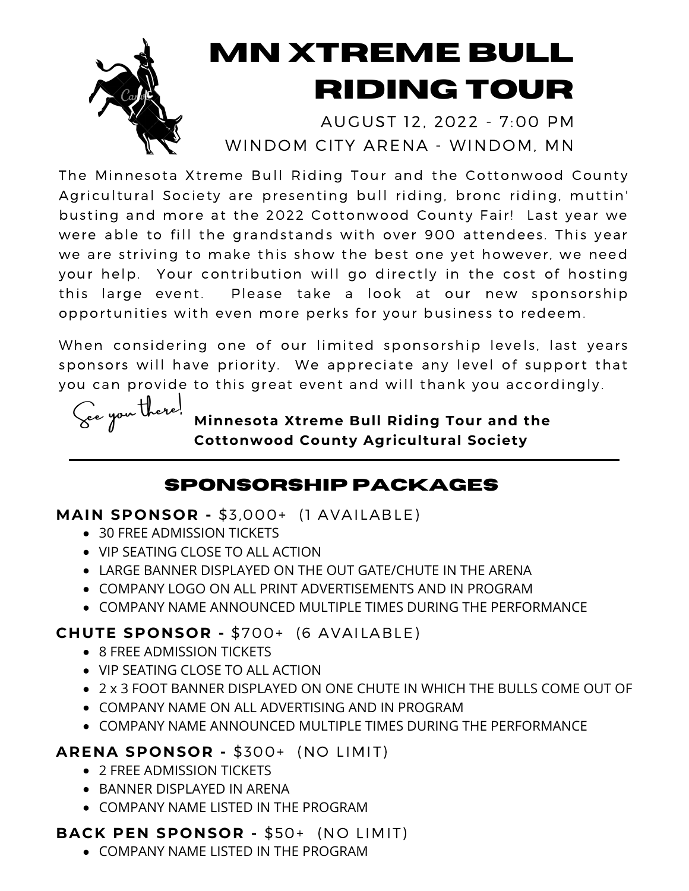

# **mn xTREME BULL RIDING TOUR**

AUGUST 12, 2022 - 7:00 PM WINDOM CITY ARENA - WINDOM, MN

The Minnesota Xtreme Bull Riding Tour and the Cottonwood County Agricultural Society are presenting bull riding, bronc riding, muttin' busting and more at the 2022 Cottonwood County Fair! Last year we were able to fill the grandstands with over 900 attendees. This year we are striving to make this show the best one yet however, we need your help. Your contribution will go directly in the cost of hosting this large event. Please take a look at our new sponsorship opportunities with even more perks for your business to redeem.

When considering one of our limited sponsorship levels, last years sponsors will have priority. We appreciate any level of support that you can provide to this great event and will thank you accordingly.



**Minnesota Xtreme Bull Riding Tour and the Cottonwood County Agricultural Society**

# **SPONSORSHIP PACKAGES**

**MAIN SPONSOR -** \$3,000+ (1 AVAILABLE)

- 30 FREE ADMISSION TICKETS
- VIP SEATING CLOSE TO ALL ACTION
- **LARGE BANNER DISPLAYED ON THE OUT GATE/CHUTE IN THE ARENA**
- COMPANY LOGO ON ALL PRINT ADVERTISEMENTS AND IN PROGRAM
- COMPANY NAME ANNOUNCED MULTIPLE TIMES DURING THE PERFORMANCE

### **CHUTE SPONSOR -** \$700+ (6 AVAILABLE)

- 8 FREE ADMISSION TICKETS
- VIP SEATING CLOSE TO ALL ACTION
- 2 x 3 FOOT BANNER DISPLAYED ON ONE CHUTE IN WHICH THE BULLS COME OUT OF
- COMPANY NAME ON ALL ADVERTISING AND IN PROGRAM
- COMPANY NAME ANNOUNCED MULTIPLE TIMES DURING THE PERFORMANCE

### **ARENA SPONSOR -** \$300+ (NO LIMIT)

- 2 FREE ADMISSION TICKETS
- BANNER DISPLAYED IN ARENA
- COMPANY NAME LISTED IN THE PROGRAM

## **BACK PEN SPONSOR -** \$50+ (NO LIMIT)

COMPANY NAME LISTED IN THE PROGRAM